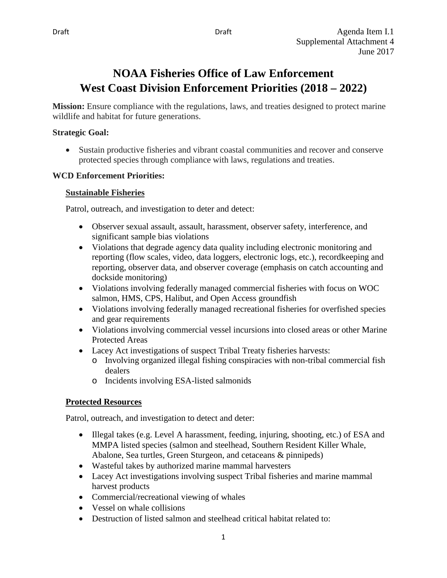# **NOAA Fisheries Office of Law Enforcement West Coast Division Enforcement Priorities (2018 – 2022)**

**Mission:** Ensure compliance with the regulations, laws, and treaties designed to protect marine wildlife and habitat for future generations.

### **Strategic Goal:**

• Sustain productive fisheries and vibrant coastal communities and recover and conserve protected species through compliance with laws, regulations and treaties.

### **WCD Enforcement Priorities:**

### **Sustainable Fisheries**

Patrol, outreach, and investigation to deter and detect:

- Observer sexual assault, assault, harassment, observer safety, interference, and significant sample bias violations
- Violations that degrade agency data quality including electronic monitoring and reporting (flow scales, video, data loggers, electronic logs, etc.), recordkeeping and reporting, observer data, and observer coverage (emphasis on catch accounting and dockside monitoring)
- Violations involving federally managed commercial fisheries with focus on WOC salmon, HMS, CPS, Halibut, and Open Access groundfish
- Violations involving federally managed recreational fisheries for overfished species and gear requirements
- Violations involving commercial vessel incursions into closed areas or other Marine Protected Areas
- Lacey Act investigations of suspect Tribal Treaty fisheries harvests:
	- o Involving organized illegal fishing conspiracies with non-tribal commercial fish dealers
	- o Incidents involving ESA-listed salmonids

# **Protected Resources**

Patrol, outreach, and investigation to detect and deter:

- Illegal takes (e.g. Level A harassment, feeding, injuring, shooting, etc.) of ESA and MMPA listed species (salmon and steelhead, Southern Resident Killer Whale, Abalone, Sea turtles, Green Sturgeon, and cetaceans & pinnipeds)
- Wasteful takes by authorized marine mammal harvesters
- Lacey Act investigations involving suspect Tribal fisheries and marine mammal harvest products
- Commercial/recreational viewing of whales
- Vessel on whale collisions
- Destruction of listed salmon and steelhead critical habitat related to: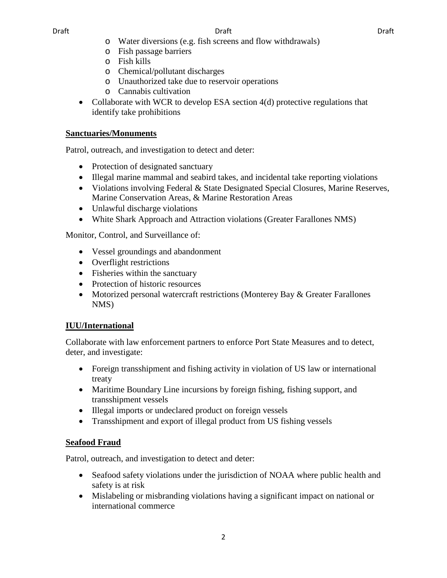- o Water diversions (e.g. fish screens and flow withdrawals)
- o Fish passage barriers
- o Fish kills
- o Chemical/pollutant discharges
- o Unauthorized take due to reservoir operations
- o Cannabis cultivation
- Collaborate with WCR to develop ESA section 4(d) protective regulations that identify take prohibitions

### **Sanctuaries/Monuments**

Patrol, outreach, and investigation to detect and deter:

- Protection of designated sanctuary
- Illegal marine mammal and seabird takes, and incidental take reporting violations
- Violations involving Federal & State Designated Special Closures, Marine Reserves, Marine Conservation Areas, & Marine Restoration Areas
- Unlawful discharge violations
- White Shark Approach and Attraction violations (Greater Farallones NMS)

Monitor, Control, and Surveillance of:

- Vessel groundings and abandonment
- Overflight restrictions
- Fisheries within the sanctuary
- Protection of historic resources
- Motorized personal watercraft restrictions (Monterey Bay & Greater Farallones NMS)

# **IUU/International**

Collaborate with law enforcement partners to enforce Port State Measures and to detect, deter, and investigate:

- Foreign transshipment and fishing activity in violation of US law or international treaty
- Maritime Boundary Line incursions by foreign fishing, fishing support, and transshipment vessels
- Illegal imports or undeclared product on foreign vessels
- Transshipment and export of illegal product from US fishing vessels

# **Seafood Fraud**

Patrol, outreach, and investigation to detect and deter:

- Seafood safety violations under the jurisdiction of NOAA where public health and safety is at risk
- Mislabeling or misbranding violations having a significant impact on national or international commerce